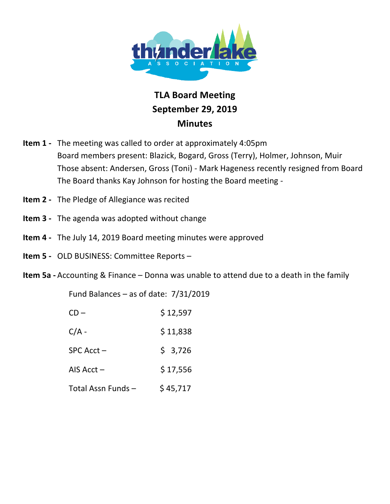

## **TLA!Board Meeting September 29,!2019 Minutes**

- **Item 1 -** The meeting was called to order at approximately 4:05pm Board members present: Blazick, Bogard, Gross (Terry), Holmer, Johnson, Muir Those absent: Andersen, Gross (Toni) - Mark Hageness recently resigned from Board The Board thanks Kay Johnson for hosting the Board meeting -
- **Item 2** The Pledge of Allegiance was recited
- **Item 3** The agenda was adopted without change
- **Item 4** The July 14, 2019 Board meeting minutes were approved
- Item 5 OLD BUSINESS: Committee Reports -
- **Item 5a -** Accounting & Finance Donna was unable to attend due to a death in the family

Fund Balances – as of date:  $7/31/2019$ 

| $CD -$             | \$12,597 |
|--------------------|----------|
| $C/A -$            | \$11,838 |
| SPC Acct-          | \$3,726  |
| AIS $Acct -$       | \$17,556 |
| Total Assn Funds - | \$45,717 |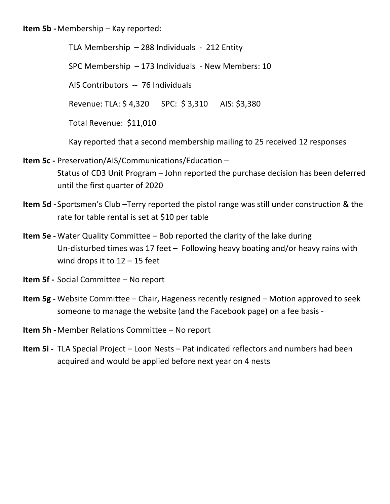**Item 5b - Membership – Kay reported:** 

TLA Membership  $-$  288 Individuals  $-$  212 Entity SPC Membership  $- 173$  Individuals - New Members: 10 AIS Contributors -- 76 Individuals Revenue: TLA: \$4,320 SPC: \$3,310 AIS: \$3,380 Total Revenue: \$11,010 Kay reported that a second membership mailing to 25 received 12 responses

- **Item 5c Preservation/AIS/Communications/Education** Status of CD3 Unit Program – John reported the purchase decision has been deferred until the first quarter of 2020
- **Item 5d** Sportsmen's Club –Terry reported the pistol range was still under construction & the rate for table rental is set at \$10 per table
- **Item 5e -** Water Quality Committee Bob reported the clarity of the lake during Un-disturbed times was 17 feet – Following heavy boating and/or heavy rains with wind drops it to  $12 - 15$  feet
- **Item 5f** Social Committee No report
- **Item 5g** Website Committee Chair, Hageness recently resigned Motion approved to seek someone to manage the website (and the Facebook page) on a fee basis -
- **Item 5h Member Relations Committee No report**
- **Item 5i** TLA Special Project Loon Nests Pat indicated reflectors and numbers had been acquired and would be applied before next year on 4 nests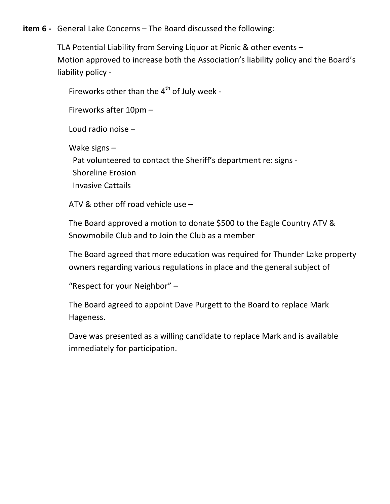## **item 6** - General Lake Concerns – The Board discussed the following:

TLA Potential Liability from Serving Liquor at Picnic & other events  $-$ Motion approved to increase both the Association's liability policy and the Board's liability policy -

Fireworks other than the  $4<sup>th</sup>$  of July week -

Fireworks after  $10 \text{pm}$  –

Loud radio noise  $-$ 

Wake signs  $-$ 

Pat volunteered to contact the Sheriff's department re: signs -Shoreline Erosion **Invasive Cattails** 

ATV & other off road vehicle use  $-$ 

The Board approved a motion to donate \$500 to the Eagle Country ATV & Snowmobile Club and to Join the Club as a member

The Board agreed that more education was required for Thunder Lake property owners regarding various regulations in place and the general subject of

"Respect for your Neighbor"  $-$ 

The Board agreed to appoint Dave Purgett to the Board to replace Mark Hageness.

Dave was presented as a willing candidate to replace Mark and is available immediately for participation.